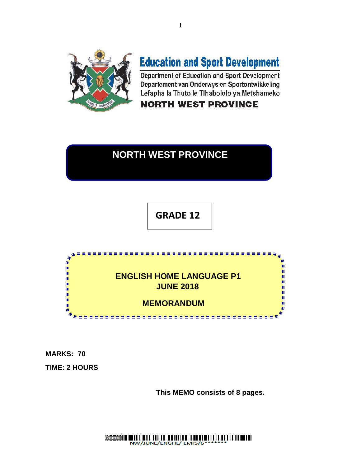

# **Education and Sport Development**

Department of Education and Sport Development Departement van Onderwys en Sportontwikkeling Lefapha la Thuto le Tihabololo ya Metshameko

# **NORTH WEST PROVINCE**

# **NORTH WEST PROVINCE**

 **GRADE 12**



**MARKS: 70**

**TIME: 2 HOURS**

**This MEMO consists of 8 pages.**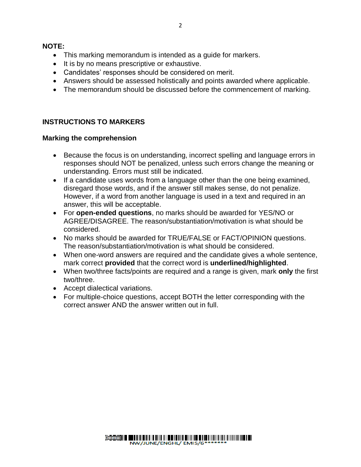#### **NOTE:**

- This marking memorandum is intended as a guide for markers.
- It is by no means prescriptive or exhaustive.
- Candidates' responses should be considered on merit.
- Answers should be assessed holistically and points awarded where applicable.
- The memorandum should be discussed before the commencement of marking.

# **INSTRUCTIONS TO MARKERS**

#### **Marking the comprehension**

- Because the focus is on understanding, incorrect spelling and language errors in responses should NOT be penalized, unless such errors change the meaning or understanding. Errors must still be indicated.
- If a candidate uses words from a language other than the one being examined, disregard those words, and if the answer still makes sense, do not penalize. However, if a word from another language is used in a text and required in an answer, this will be acceptable.
- For **open-ended questions**, no marks should be awarded for YES/NO or AGREE/DISAGREE. The reason/substantiation/motivation is what should be considered.
- No marks should be awarded for TRUE/FALSE or FACT/OPINION questions. The reason/substantiation/motivation is what should be considered.
- When one-word answers are required and the candidate gives a whole sentence, mark correct **provided** that the correct word is **underlined/highlighted**.
- When two/three facts/points are required and a range is given, mark **only** the first two/three.
- Accept dialectical variations.
- For multiple-choice questions, accept BOTH the letter corresponding with the correct answer AND the answer written out in full.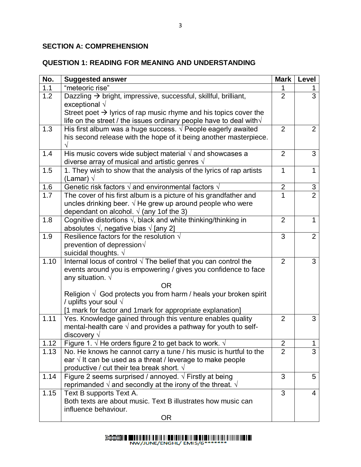# **SECTION A: COMPREHENSION**

# **QUESTION 1: READING FOR MEANING AND UNDERSTANDING**

| No.  | <b>Suggested answer</b>                                                                                                                                                                       | <b>Mark</b>    | Level          |
|------|-----------------------------------------------------------------------------------------------------------------------------------------------------------------------------------------------|----------------|----------------|
| 1.1  | "meteoric rise"                                                                                                                                                                               |                |                |
| 1.2  | Dazzling → bright, impressive, successful, skillful, brilliant,<br>exceptional $\sqrt{}$                                                                                                      | $\overline{2}$ | $\overline{3}$ |
|      | Street poet $\rightarrow$ lyrics of rap music rhyme and his topics cover the<br>life on the street / the issues ordinary people have to deal with $\sqrt{}$                                   |                |                |
| 1.3  | His first album was a huge success. $\sqrt{ }$ People eagerly awaited<br>his second release with the hope of it being another masterpiece.                                                    | 2              | 2              |
| 1.4  | His music covers wide subject material $\sqrt{ }$ and showcases a<br>diverse array of musical and artistic genres $\sqrt{ }$                                                                  | 2              | 3              |
| 1.5  | 1. They wish to show that the analysis of the lyrics of rap artists<br>(Lamar) $\sqrt{ }$                                                                                                     | 1              | $\mathbf 1$    |
| 1.6  | Genetic risk factors $\sqrt{}$ and environmental factors $\sqrt{}$                                                                                                                            | $\overline{2}$ | $rac{3}{2}$    |
| 1.7  | The cover of his first album is a picture of his grandfather and<br>uncles drinking beer. $\sqrt{}$ He grew up around people who were<br>dependant on alcohol. $\sqrt{(any 1}$ of the 3)      | 1              |                |
| 1.8  | Cognitive distortions $\sqrt{ }$ , black and white thinking/thinking in<br>absolutes $\sqrt{ }$ , negative bias $\sqrt{ }$ [any 2]                                                            | $\overline{2}$ | $\mathbf 1$    |
| 1.9  | Resilience factors for the resolution $\sqrt{ }$<br>prevention of depression $\sqrt{ }$<br>suicidal thoughts. $\sqrt{ }$                                                                      | 3              | $\overline{2}$ |
| 1.10 | Internal locus of control $\sqrt{ }$ The belief that you can control the<br>events around you is empowering / gives you confidence to face<br>any situation. $\sqrt{}$                        | $\overline{2}$ | 3              |
|      | <b>OR</b>                                                                                                                                                                                     |                |                |
|      | Religion $\sqrt{ }$ God protects you from harm / heals your broken spirit<br>/ uplifts your soul $\sqrt{}$                                                                                    |                |                |
|      | [1 mark for factor and 1 mark for appropriate explanation]                                                                                                                                    | $\overline{2}$ |                |
| 1.11 | Yes. Knowledge gained through this venture enables quality<br>mental-health care $\sqrt{ }$ and provides a pathway for youth to self-<br>discovery $\sqrt{}$                                  |                | 3              |
| 1.12 | Figure 1. $\sqrt{ }$ He orders figure 2 to get back to work. $\sqrt{ }$                                                                                                                       | $\overline{2}$ | $\mathbf{1}$   |
| 1.13 | No. He knows he cannot carry a tune / his music is hurtful to the<br>ear $\sqrt{ }$ It can be used as a threat / leverage to make people<br>productive / cut their tea break short. $\sqrt{}$ | $\overline{2}$ | 3              |
| 1.14 | Figure 2 seems surprised / annoyed. $\sqrt{ }$ Firstly at being<br>reprimanded $\sqrt{ }$ and secondly at the irony of the threat. $\sqrt{ }$                                                 | 3              | 5              |
| 1.15 | Text B supports Text A.<br>Both texts are about music. Text B illustrates how music can<br>influence behaviour.<br><b>OR</b>                                                                  | 3              | 4              |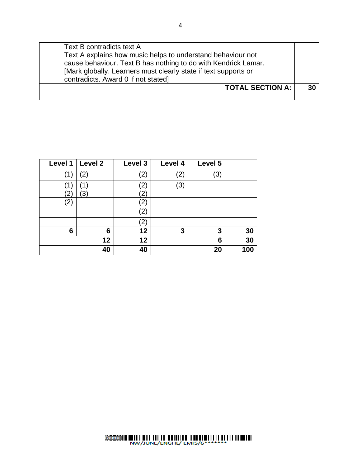| Text B contradicts text A<br>Text A explains how music helps to understand behaviour not<br>cause behaviour. Text B has nothing to do with Kendrick Lamar.<br>[Mark globally. Learners must clearly state if text supports or<br>contradicts. Award 0 if not stated] |  |    |
|----------------------------------------------------------------------------------------------------------------------------------------------------------------------------------------------------------------------------------------------------------------------|--|----|
| <b>TOTAL SECTION A:</b>                                                                                                                                                                                                                                              |  | 30 |

| Level 1           | Level 2           | Level 3 | Level 4 | Level 5 |     |
|-------------------|-------------------|---------|---------|---------|-----|
| (1)               | $\left( 2\right)$ | (2)     | (2)     | (3)     |     |
|                   |                   | '2)     | (3)     |         |     |
| $\mathbf{2}$      | 3)                | '2)     |         |         |     |
| $\left( 2\right)$ |                   | (2)     |         |         |     |
|                   |                   | (2)     |         |         |     |
|                   |                   | (2)     |         |         |     |
| 6                 | 6                 | 12      | 3       | 3       | 30  |
|                   | 12                | 12      |         | 6       | 30  |
|                   | 40                | 40      |         | 20      | 100 |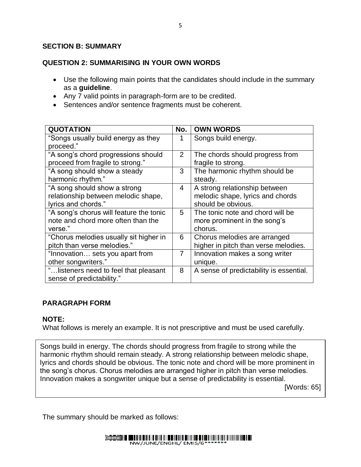#### **SECTION B: SUMMARY**

#### **QUESTION 2: SUMMARISING IN YOUR OWN WORDS**

- Use the following main points that the candidates should include in the summary as a **guideline**.
- Any 7 valid points in paragraph-form are to be credited.
- Sentences and/or sentence fragments must be coherent.

| <b>QUOTATION</b>                        | No.            | <b>OWN WORDS</b>                        |
|-----------------------------------------|----------------|-----------------------------------------|
| "Songs usually build energy as they     |                | Songs build energy.                     |
| proceed."                               |                |                                         |
| "A song's chord progressions should     | 2              | The chords should progress from         |
| proceed from fragile to strong."        |                | fragile to strong.                      |
| "A song should show a steady            | 3              | The harmonic rhythm should be           |
| harmonic rhythm."                       |                | steady.                                 |
| "A song should show a strong            | 4              | A strong relationship between           |
| relationship between melodic shape,     |                | melodic shape, lyrics and chords        |
| lyrics and chords."                     |                | should be obvious.                      |
| "A song's chorus will feature the tonic | 5              | The tonic note and chord will be        |
| note and chord more often than the      |                | more prominent in the song's            |
| verse."                                 |                | chorus.                                 |
| "Chorus melodies usually sit higher in  | 6              | Chorus melodies are arranged            |
| pitch than verse melodies."             |                | higher in pitch than verse melodies.    |
| "Innovation sets you apart from         | $\overline{7}$ | Innovation makes a song writer          |
| other songwriters."                     |                | unique.                                 |
| " listeners need to feel that pleasant  | 8              | A sense of predictability is essential. |
| sense of predictability."               |                |                                         |

#### **PARAGRAPH FORM**

#### **NOTE:**

What follows is merely an example. It is not prescriptive and must be used carefully.

**Marking the summary of the summary** Songs build in energy. The chords should progress from fragile to strong while the harmonic rhythm should remain steady. A strong relationship between melodic shape, lyrics and chords should be obvious. The tonic note and chord will be more prominent in the song's chorus. Chorus melodies are arranged higher in pitch than verse melodies. Innovation makes a songwriter unique but a sense of predictability is essential.

[Words: 65]

The summary should be marked as follows: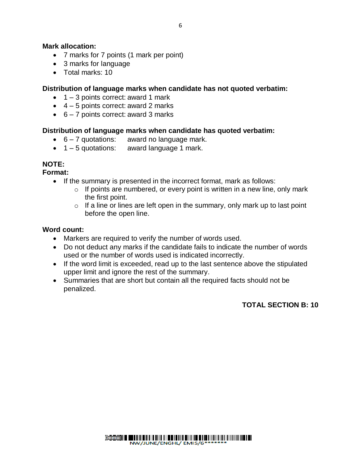#### **Mark allocation:**

- 7 marks for 7 points (1 mark per point)
- 3 marks for language
- Total marks: 10

#### **Distribution of language marks when candidate has not quoted verbatim:**

- $\bullet$  1 3 points correct: award 1 mark
- $\bullet$  4 5 points correct: award 2 marks
- $6 7$  points correct: award 3 marks

#### **Distribution of language marks when candidate has quoted verbatim:**

- $\bullet$  6 7 quotations: award no language mark.
- $\bullet$  1 5 quotations: award language 1 mark.

#### **NOTE:**

**Format:**

- If the summary is presented in the incorrect format, mark as follows:
	- $\circ$  If points are numbered, or every point is written in a new line, only mark the first point.
	- $\circ$  If a line or lines are left open in the summary, only mark up to last point before the open line.

#### **Word count:**

- Markers are required to verify the number of words used.
- Do not deduct any marks if the candidate fails to indicate the number of words used or the number of words used is indicated incorrectly.
- If the word limit is exceeded, read up to the last sentence above the stipulated upper limit and ignore the rest of the summary.
- Summaries that are short but contain all the required facts should not be penalized.

# **TOTAL SECTION B: 10**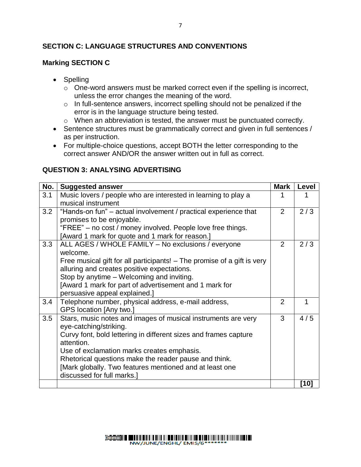# **SECTION C: LANGUAGE STRUCTURES AND CONVENTIONS**

### **Marking SECTION C**

- Spelling
	- o One-word answers must be marked correct even if the spelling is incorrect, unless the error changes the meaning of the word.
	- o In full-sentence answers, incorrect spelling should not be penalized if the error is in the language structure being tested.
	- o When an abbreviation is tested, the answer must be punctuated correctly.
- Sentence structures must be grammatically correct and given in full sentences / as per instruction.
- For multiple-choice questions, accept BOTH the letter corresponding to the correct answer AND/OR the answer written out in full as correct.

#### **QUESTION 3: ANALYSING ADVERTISING**

| No. | <b>Suggested answer</b>                                                                 | <b>Mark</b>    | Level  |
|-----|-----------------------------------------------------------------------------------------|----------------|--------|
| 3.1 | Music lovers / people who are interested in learning to play a                          |                |        |
|     | musical instrument                                                                      |                |        |
| 3.2 | "Hands-on fun" – actual involvement / practical experience that                         | $\overline{2}$ | 2/3    |
|     | promises to be enjoyable.                                                               |                |        |
|     | "FREE" – no cost / money involved. People love free things.                             |                |        |
|     | [Award 1 mark for quote and 1 mark for reason.]                                         |                |        |
| 3.3 | ALL AGES / WHOLE FAMILY - No exclusions / everyone                                      | $\overline{2}$ | 2/3    |
|     | welcome.                                                                                |                |        |
|     | Free musical gift for all participants! – The promise of a gift is very                 |                |        |
|     | alluring and creates positive expectations.                                             |                |        |
|     | Stop by anytime - Welcoming and inviting.                                               |                |        |
|     | [Award 1 mark for part of advertisement and 1 mark for                                  |                |        |
|     | persuasive appeal explained.]                                                           |                |        |
| 3.4 | Telephone number, physical address, e-mail address,                                     | 2              | 1      |
|     | GPS location [Any two.]                                                                 |                |        |
| 3.5 | Stars, music notes and images of musical instruments are very<br>eye-catching/striking. | 3              | 4/5    |
|     | Curvy font, bold lettering in different sizes and frames capture                        |                |        |
|     | attention.                                                                              |                |        |
|     | Use of exclamation marks creates emphasis.                                              |                |        |
|     | Rhetorical questions make the reader pause and think.                                   |                |        |
|     | [Mark globally. Two features mentioned and at least one                                 |                |        |
|     | discussed for full marks.]                                                              |                |        |
|     |                                                                                         |                | $[10]$ |